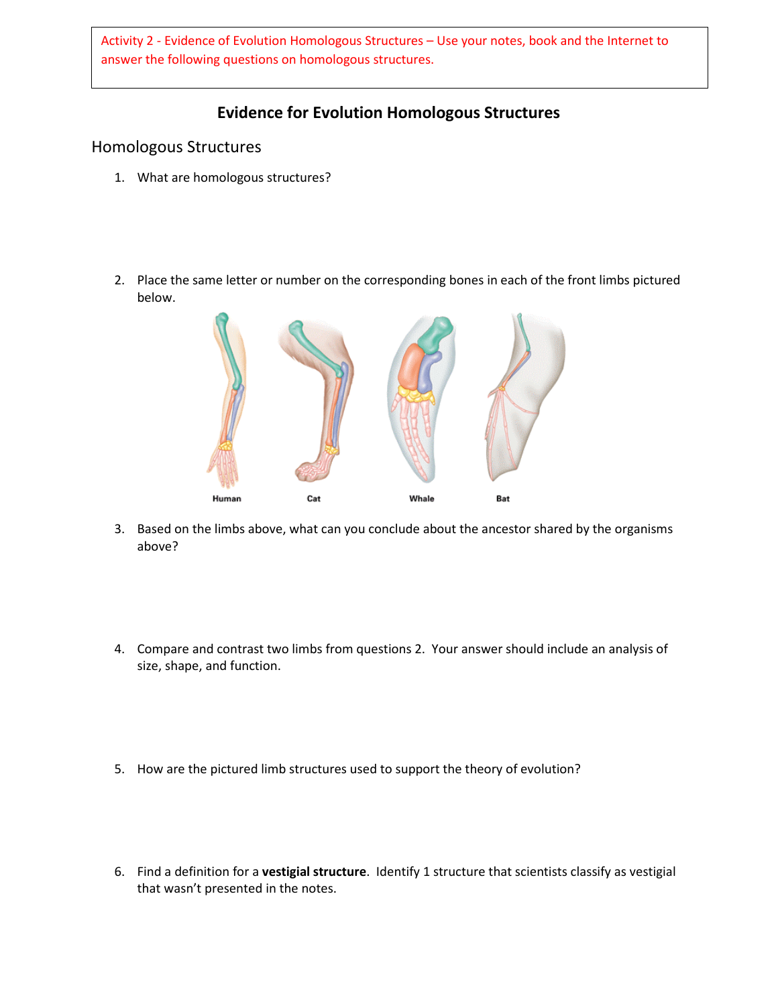Activity 2 - Evidence of Evolution Homologous Structures – Use your notes, book and the Internet to answer the following questions on homologous structures.

## **Evidence for Evolution Homologous Structures**

#### Homologous Structures

- 1. What are homologous structures?
- 2. Place the same letter or number on the corresponding bones in each of the front limbs pictured below.



- 3. Based on the limbs above, what can you conclude about the ancestor shared by the organisms above?
- 4. Compare and contrast two limbs from questions 2. Your answer should include an analysis of size, shape, and function.
- 5. How are the pictured limb structures used to support the theory of evolution?
- 6. Find a definition for a **vestigial structure**. Identify 1 structure that scientists classify as vestigial that wasn't presented in the notes.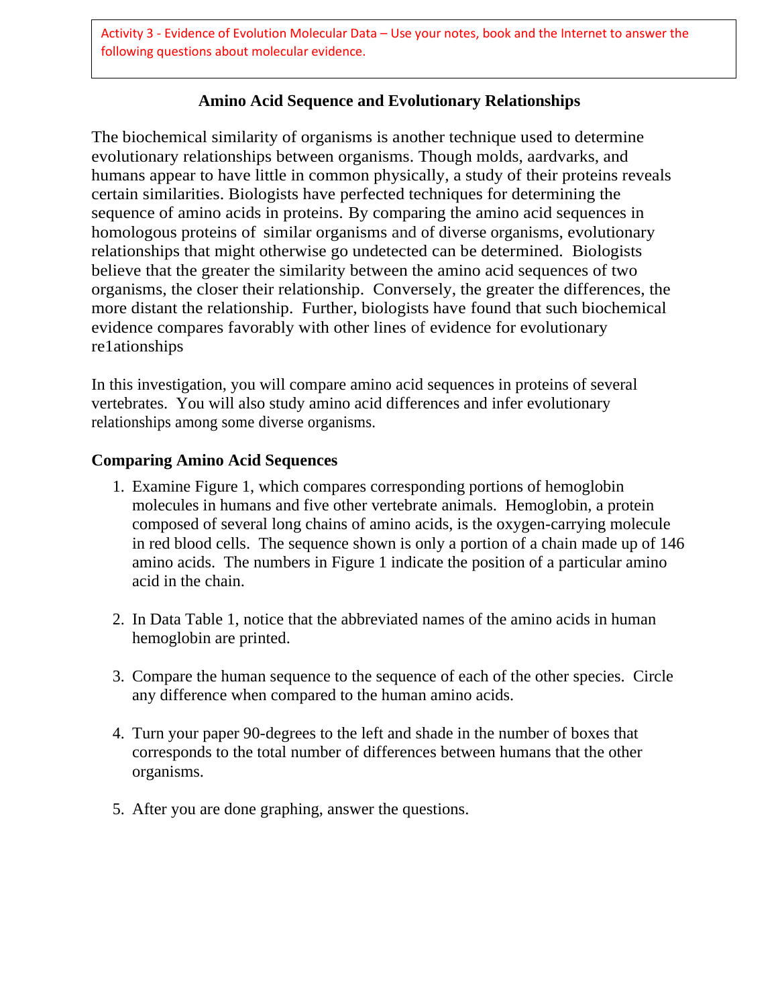Activity 3 - Evidence of Evolution Molecular Data – Use your notes, book and the Internet to answer the following questions about molecular evidence.

## **Amino Acid Sequence and Evolutionary Relationships**

The biochemical similarity of organisms is another technique used to determine evolutionary relationships between organisms. Though molds, aardvarks, and humans appear to have little in common physically, a study of their proteins reveals certain similarities. Biologists have perfected techniques for determining the sequence of amino acids in proteins. By comparing the amino acid sequences in homologous proteins of similar organisms and of diverse organisms, evolutionary relationships that might otherwise go undetected can be determined. Biologists believe that the greater the similarity between the amino acid sequences of two organisms, the closer their relationship. Conversely, the greater the differences, the more distant the relationship. Further, biologists have found that such biochemical evidence compares favorably with other lines of evidence for evolutionary re1ationships

In this investigation, you will compare amino acid sequences in proteins of several vertebrates. You will also study amino acid differences and infer evolutionary relationships among some diverse organisms.

#### **Comparing Amino Acid Sequences**

- 1. Examine Figure 1, which compares corresponding portions of hemoglobin molecules in humans and five other vertebrate animals. Hemoglobin, a protein composed of several long chains of amino acids, is the oxygen-carrying molecule in red blood cells. The sequence shown is only a portion of a chain made up of 146 amino acids. The numbers in Figure 1 indicate the position of a particular amino acid in the chain.
- 2. In Data Table 1, notice that the abbreviated names of the amino acids in human hemoglobin are printed.
- 3. Compare the human sequence to the sequence of each of the other species. Circle any difference when compared to the human amino acids.
- 4. Turn your paper 90-degrees to the left and shade in the number of boxes that corresponds to the total number of differences between humans that the other organisms.
- 5. After you are done graphing, answer the questions.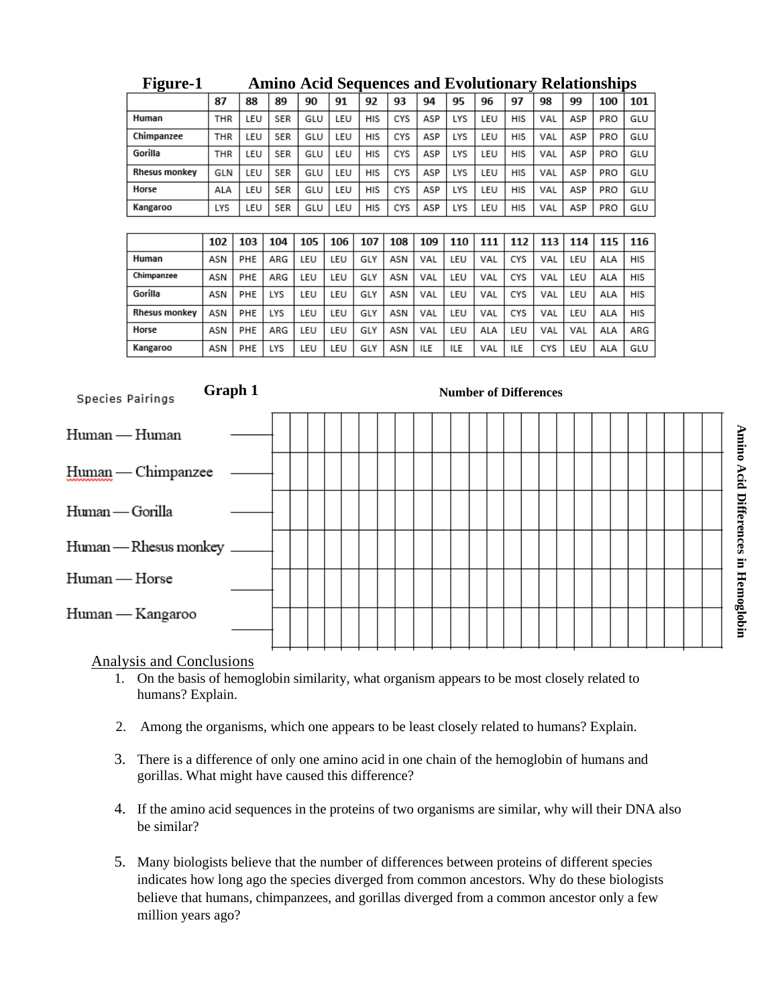| $\ddotsc$     | пинио пски всяшенно ини птонионии г<br><i>AWAMUNYANJAAND</i> |     |            |     |     |     |     |     |            |     |     |     |     |     |     |
|---------------|--------------------------------------------------------------|-----|------------|-----|-----|-----|-----|-----|------------|-----|-----|-----|-----|-----|-----|
|               | 87                                                           | 88  | 89         | 90  | 91  | 92  | 93  | 94  | 95         | 96  | 97  | 98  | 99  | 100 | 101 |
| Human         | THR                                                          | LEU | <b>SER</b> | GLU | LEU | HIS | CYS | ASP | LYS        | LEU | HIS | VAL | ASP | PRO | GLU |
| Chimpanzee    | THR                                                          | LEU | <b>SER</b> | GLU | LEU | HIS | CYS | ASP | LYS        | LEU | HIS | VAL | ASP | PRO | GLU |
| Gorilla       | THR                                                          | LEU | <b>SER</b> | GLU | LEU | HIS | CYS | ASP | LYS        | LEU | HIS | VAL | ASP | PRO | GLU |
| Rhesus monkey | GLN                                                          | LEU | <b>SER</b> | GLU | LEU | HIS | CYS | ASP | LYS        | LEU | HIS | VAL | ASP | PRO | GLU |
| Horse         | ALA                                                          | LEU | <b>SER</b> | GLU | LEU | HIS | CYS | ASP | LYS        | LEU | HIS | VAL | ASP | PRO | GLU |
| Kangaroo      | LYS                                                          | LEU | <b>SER</b> | GLU | LEU | HIS | CYS | ASP | <b>LYS</b> | LEU | HIS | VAL | ASP | PRO | GLU |
|               |                                                              |     |            |     |     |     |     |     |            |     |     |     |     |     |     |

| <b>Figure-1</b> | <b>Amino Acid Sequences and Evolutionary Relationships</b> |  |  |
|-----------------|------------------------------------------------------------|--|--|
|                 |                                                            |  |  |

|               | 102 | 103 | 104        | 105 | 106 | 107 | 108 | 109 | 110 | 111 | 112 | 113 | 114 | 115 | 116 |
|---------------|-----|-----|------------|-----|-----|-----|-----|-----|-----|-----|-----|-----|-----|-----|-----|
| Human         | ASN | PHE | ARG        | LEU | LEU | GLY | ASN | VAL | LEU | VAL | CYS | VAL | LEU | ALA | HIS |
| Chimpanzee    | ASN | PHE | ARG        | LEU | LEU | GLY | ASN | VAL | LEU | VAL | CYS | VAL | LEU | ALA | HIS |
| Gorilla       | ASN | PHE | <b>LYS</b> | LEU | LEU | GLY | ASN | VAL | LEU | VAL | CYS | VAL | LEU | ALA | HIS |
| Rhesus monkey | ASN | PHE | <b>LYS</b> | LEU | LEU | GLY | ASN | VAL | LEU | VAL | CYS | VAL | LEU | ALA | HIS |
| Horse         | ASN | PHE | ARG        | LEU | LEU | GLY | ASN | VAL | LEU | ALA | LEU | VAL | VAL | ALA | ARG |
| Kangaroo      | ASN | PHE | LYS        | LEU | LEU | GLY | ASN | ILE | ILE | VAL | ILE | CYS | LEU | ALA | GLU |



#### Analysis and Conclusions

- 1. On the basis of hemoglobin similarity, what organism appears to be most closely related to humans? Explain.
- 2. Among the organisms, which one appears to be least closely related to humans? Explain.
- 3. There is a difference of only one amino acid in one chain of the hemoglobin of humans and gorillas. What might have caused this difference?
- 4. If the amino acid sequences in the proteins of two organisms are similar, why will their DNA also be similar?
- 5. Many biologists believe that the number of differences between proteins of different species indicates how long ago the species diverged from common ancestors. Why do these biologists believe that humans, chimpanzees, and gorillas diverged from a common ancestor only a few million years ago?